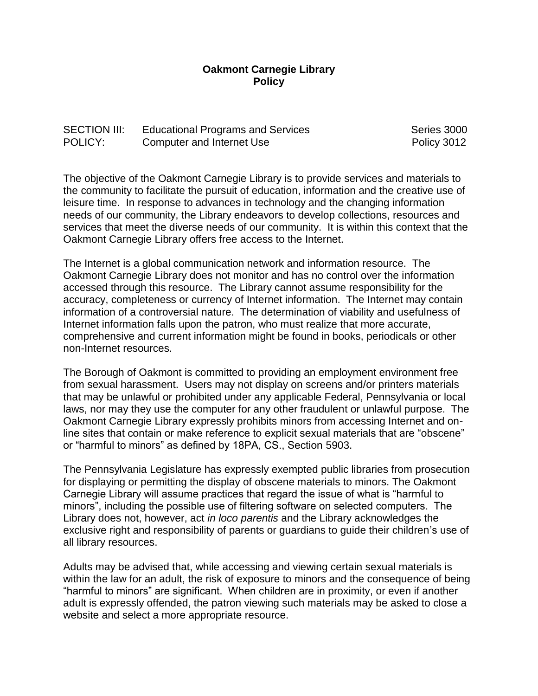## **Oakmont Carnegie Library Policy**

## SECTION III: Educational Programs and Services Series 3000 POLICY: Computer and Internet Use **POLICY:** POLICY:

The objective of the Oakmont Carnegie Library is to provide services and materials to the community to facilitate the pursuit of education, information and the creative use of leisure time. In response to advances in technology and the changing information needs of our community, the Library endeavors to develop collections, resources and services that meet the diverse needs of our community. It is within this context that the Oakmont Carnegie Library offers free access to the Internet.

The Internet is a global communication network and information resource. The Oakmont Carnegie Library does not monitor and has no control over the information accessed through this resource. The Library cannot assume responsibility for the accuracy, completeness or currency of Internet information. The Internet may contain information of a controversial nature. The determination of viability and usefulness of Internet information falls upon the patron, who must realize that more accurate, comprehensive and current information might be found in books, periodicals or other non-Internet resources.

The Borough of Oakmont is committed to providing an employment environment free from sexual harassment. Users may not display on screens and/or printers materials that may be unlawful or prohibited under any applicable Federal, Pennsylvania or local laws, nor may they use the computer for any other fraudulent or unlawful purpose. The Oakmont Carnegie Library expressly prohibits minors from accessing Internet and online sites that contain or make reference to explicit sexual materials that are "obscene" or "harmful to minors" as defined by 18PA, CS., Section 5903.

The Pennsylvania Legislature has expressly exempted public libraries from prosecution for displaying or permitting the display of obscene materials to minors. The Oakmont Carnegie Library will assume practices that regard the issue of what is "harmful to minors", including the possible use of filtering software on selected computers. The Library does not, however, act *in loco parentis* and the Library acknowledges the exclusive right and responsibility of parents or guardians to guide their children's use of all library resources.

Adults may be advised that, while accessing and viewing certain sexual materials is within the law for an adult, the risk of exposure to minors and the consequence of being "harmful to minors" are significant. When children are in proximity, or even if another adult is expressly offended, the patron viewing such materials may be asked to close a website and select a more appropriate resource.